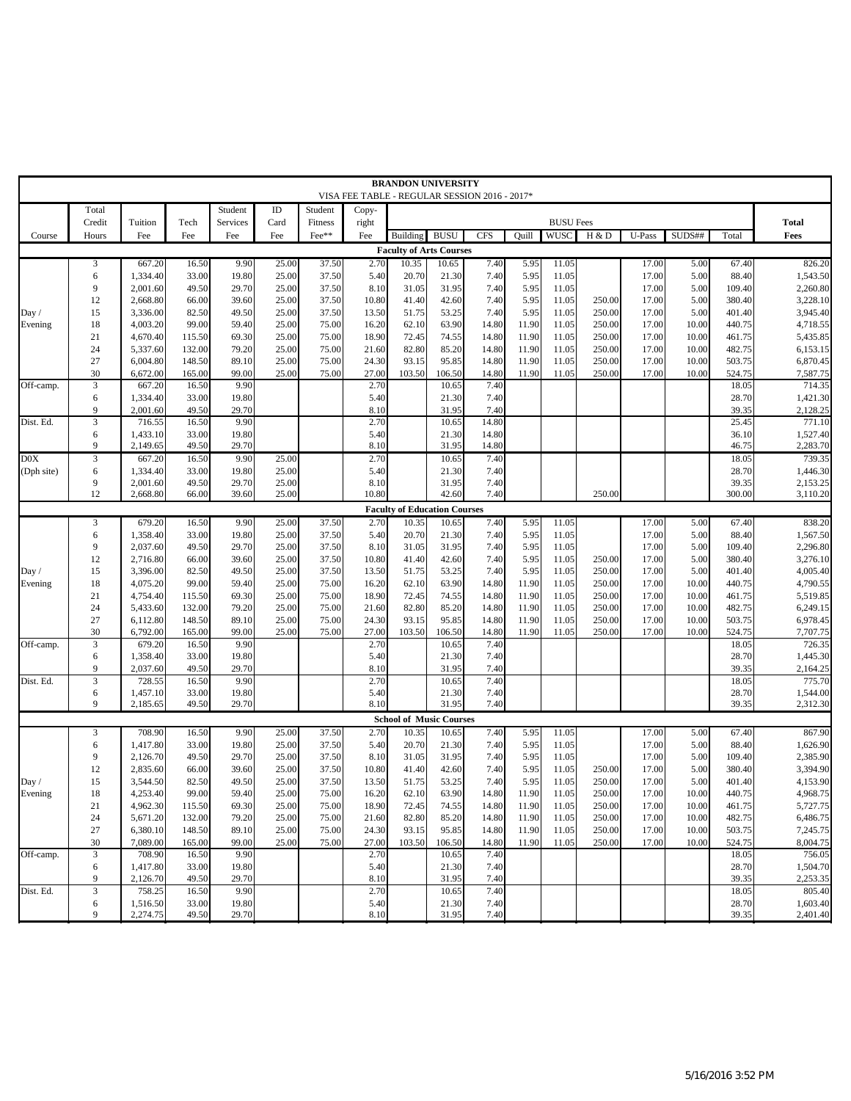|            |                |          |        |          |          |         |                                               | <b>BRANDON UNIVERSITY</b>           |             |            |       |                  |        |        |           |        |          |
|------------|----------------|----------|--------|----------|----------|---------|-----------------------------------------------|-------------------------------------|-------------|------------|-------|------------------|--------|--------|-----------|--------|----------|
|            |                |          |        |          |          |         | VISA FEE TABLE - REGULAR SESSION 2016 - 2017* |                                     |             |            |       |                  |        |        |           |        |          |
|            | Total          |          |        | Student  | $\rm ID$ | Student | Copy-                                         |                                     |             |            |       |                  |        |        |           |        |          |
|            | Credit         | Tuition  | Tech   | Services | Card     | Fitness | right                                         |                                     |             |            |       | <b>BUSU Fees</b> |        |        |           |        | Total    |
| Course     | Hours          | Fee      | Fee    | Fee      | Fee      | Fee**   | Fee                                           | Building                            | <b>BUSU</b> | <b>CFS</b> | Quill | <b>WUSC</b>      | H & D  | U-Pass | SUDS##    | Total  | Fees     |
|            |                |          |        |          |          |         |                                               |                                     |             |            |       |                  |        |        |           |        |          |
|            |                |          |        |          |          |         |                                               | <b>Faculty of Arts Courses</b>      |             |            |       |                  |        |        |           |        |          |
|            | 3              | 667.20   | 16.50  | 9.90     | 25.00    | 37.50   | 2.70                                          | 10.35                               | 10.65       | 7.40       | 5.95  | 11.05            |        | 17.00  | 5.00      | 67.40  | 826.20   |
|            | 6              | 1,334.40 | 33.00  | 19.80    | 25.00    | 37.50   | 5.40                                          | 20.70                               | 21.30       | 7.40       | 5.95  | 11.05            |        | 17.00  | 5.00      | 88.40  | 1,543.50 |
|            | 9              | 2,001.60 | 49.50  | 29.70    | 25.00    | 37.50   | 8.10                                          | 31.05                               | 31.95       | 7.40       | 5.95  | 11.05            |        | 17.00  | 5.00      | 109.40 | 2,260.80 |
|            | 12             | 2,668.80 | 66.00  | 39.60    | 25.00    | 37.50   | 10.80                                         | 41.40                               | 42.60       | 7.40       | 5.95  | 11.05            | 250.00 | 17.00  | 5.00      | 380.40 | 3,228.10 |
| Day /      | 15             | 3,336.00 | 82.50  | 49.50    | 25.00    | 37.50   | 13.50                                         | 51.75                               | 53.25       | 7.40       | 5.95  | 11.05            | 250.00 | 17.00  | 5.00      | 401.40 | 3,945.40 |
| Evening    | 18             | 4,003.20 | 99.00  | 59.40    | 25.00    | 75.00   | 16.20                                         | 62.10                               | 63.90       | 14.80      | 11.90 | 11.05            | 250.00 | 17.00  | 10.00     | 440.75 | 4,718.55 |
|            | 21             | 4,670.40 | 115.50 | 69.30    | 25.00    | 75.00   | 18.90                                         | 72.45                               | 74.55       | 14.80      | 11.90 | 11.05            | 250.00 | 17.00  | 10.00     | 461.75 | 5,435.85 |
|            | 24             | 5,337.60 | 132.00 | 79.20    | 25.00    | 75.00   | 21.60                                         | 82.80                               | 85.20       | 14.80      | 11.90 | 11.05            | 250.00 | 17.00  | 10.00     | 482.75 | 6,153.15 |
|            |                |          |        |          |          |         |                                               |                                     |             |            |       |                  |        |        |           |        |          |
|            | 27             | 6,004.80 | 148.50 | 89.10    | 25.00    | 75.00   | 24.30                                         | 93.15                               | 95.85       | 14.80      | 11.90 | 11.05            | 250.00 | 17.00  | 10.00     | 503.75 | 6,870.45 |
|            | 30             | 6,672.00 | 165.00 | 99.00    | 25.00    | 75.00   | 27.00                                         | 103.50                              | 106.50      | 14.80      | 11.90 | 11.05            | 250.00 | 17.00  | 10.00     | 524.75 | 7,587.75 |
| Off-camp.  | $\mathfrak{Z}$ | 667.20   | 16.50  | 9.90     |          |         | 2.70                                          |                                     | 10.65       | 7.40       |       |                  |        |        |           | 18.05  | 714.35   |
|            | 6              | 1,334.40 | 33.00  | 19.80    |          |         | 5.40                                          |                                     | 21.30       | 7.40       |       |                  |        |        |           | 28.70  | 1,421.30 |
|            | 9              | 2,001.60 | 49.50  | 29.70    |          |         | 8.10                                          |                                     | 31.95       | 7.40       |       |                  |        |        |           | 39.35  | 2,128.25 |
| Dist. Ed.  | $\mathfrak{Z}$ | 716.55   | 16.50  | 9.90     |          |         | 2.70                                          |                                     | 10.65       | 14.80      |       |                  |        |        |           | 25.45  | 771.10   |
|            | 6              | 1,433.10 | 33.00  | 19.80    |          |         | 5.40                                          |                                     | 21.30       | 14.80      |       |                  |        |        |           | 36.10  | 1,527.40 |
|            | 9              | 2,149.65 | 49.50  | 29.70    |          |         | 8.10                                          |                                     | 31.95       | 14.80      |       |                  |        |        |           | 46.75  | 2,283.70 |
| D0X        | 3              | 667.20   | 16.50  | 9.90     | 25.00    |         | 2.70                                          |                                     | 10.65       | 7.40       |       |                  |        |        |           | 18.05  | 739.35   |
| (Dph site) | 6              | 1,334.40 | 33.00  | 19.80    | 25.00    |         | 5.40                                          |                                     | 21.30       | 7.40       |       |                  |        |        |           | 28.70  | 1,446.30 |
|            | 9              | 2,001.60 | 49.50  | 29.70    | 25.00    |         | 8.10                                          |                                     | 31.95       | 7.40       |       |                  |        |        |           | 39.35  | 2,153.25 |
|            | 12             | 2,668.80 | 66.00  | 39.60    | 25.00    |         | 10.80                                         |                                     | 42.60       | 7.40       |       |                  | 250.00 |        |           | 300.00 | 3,110.20 |
|            |                |          |        |          |          |         |                                               |                                     |             |            |       |                  |        |        |           |        |          |
|            |                |          |        |          |          |         |                                               | <b>Faculty of Education Courses</b> |             |            |       |                  |        |        |           |        |          |
|            | 3              | 679.20   | 16.50  | 9.90     | 25.00    | 37.50   | 2.70                                          | 10.35                               | 10.65       | 7.40       | 5.95  | 11.05            |        | 17.00  | 5.00      | 67.40  | 838.20   |
|            | 6              | 1,358.40 | 33.00  | 19.80    | 25.00    | 37.50   | 5.40                                          | 20.70                               | 21.30       | 7.40       | 5.95  | 11.05            |        | 17.00  | 5.00      | 88.40  | 1,567.50 |
|            | 9              | 2,037.60 | 49.50  | 29.70    | 25.00    | 37.50   | 8.10                                          | 31.05                               | 31.95       | 7.40       | 5.95  | 11.05            |        | 17.00  | 5.00      | 109.40 | 2,296.80 |
|            | 12             | 2,716.80 | 66.00  | 39.60    | 25.00    | 37.50   | 10.80                                         | 41.40                               | 42.60       | 7.40       | 5.95  | 11.05            | 250.00 | 17.00  | 5.00      | 380.40 | 3,276.10 |
| Day /      | 15             | 3,396.00 | 82.50  | 49.50    | 25.00    | 37.50   | 13.50                                         | 51.75                               | 53.25       | 7.40       | 5.95  | 11.05            | 250.00 | 17.00  | 5.00      | 401.40 | 4,005.40 |
| Evening    | 18             | 4,075.20 | 99.00  | 59.40    | 25.00    | 75.00   | 16.20                                         | 62.10                               | 63.90       | 14.80      | 11.90 | 11.05            | 250.00 | 17.00  | 10.00     | 440.75 | 4,790.55 |
|            | 21             | 4,754.40 | 115.50 | 69.30    | 25.00    | 75.00   | 18.90                                         | 72.45                               | 74.55       | 14.80      | 11.90 | 11.05            | 250.00 | 17.00  | 10.00     | 461.75 | 5,519.85 |
|            | 24             | 5,433.60 | 132.00 | 79.20    | 25.00    | 75.00   | 21.60                                         | 82.80                               | 85.20       | 14.80      | 11.90 | 11.05            | 250.00 | 17.00  | 10.00     | 482.75 | 6,249.15 |
|            | 27             | 6,112.80 | 148.50 | 89.10    | 25.00    | 75.00   | 24.30                                         | 93.15                               | 95.85       | 14.80      | 11.90 | 11.05            | 250.00 | 17.00  | 10.00     | 503.75 | 6,978.45 |
|            | 30             | 6,792.00 | 165.00 | 99.00    | 25.00    | 75.00   | 27.00                                         | 103.50                              | 106.50      | 14.80      | 11.90 | 11.05            | 250.00 | 17.00  | 10.00     | 524.75 | 7,707.75 |
| Off-camp.  | $\mathfrak{Z}$ | 679.20   | 16.50  | 9.90     |          |         | 2.70                                          |                                     | 10.65       | 7.40       |       |                  |        |        |           | 18.05  | 726.35   |
|            | 6              | 1,358.40 | 33.00  | 19.80    |          |         | 5.40                                          |                                     | 21.30       | 7.40       |       |                  |        |        |           | 28.70  | 1,445.30 |
|            | 9              |          |        |          |          |         |                                               |                                     |             |            |       |                  |        |        |           |        | 2,164.25 |
|            |                | 2,037.60 | 49.50  | 29.70    |          |         | 8.10                                          |                                     | 31.95       | 7.40       |       |                  |        |        |           | 39.35  |          |
| Dist. Ed.  | 3              | 728.55   | 16.50  | 9.90     |          |         | 2.70                                          |                                     | 10.65       | 7.40       |       |                  |        |        |           | 18.05  | 775.70   |
|            | 6              | 1,457.10 | 33.00  | 19.80    |          |         | 5.40                                          |                                     | 21.30       | 7.40       |       |                  |        |        |           | 28.70  | 1,544.00 |
|            | 9              | 2,185.65 | 49.50  | 29.70    |          |         | 8.10                                          |                                     | 31.95       | 7.40       |       |                  |        |        |           | 39.35  | 2,312.30 |
|            |                |          |        |          |          |         |                                               | <b>School of Music Courses</b>      |             |            |       |                  |        |        |           |        |          |
|            | 3              | 708.90   | 16.50  | 9.90     | 25.00    | 37.50   | 2.70                                          | 10.35                               | 10.65       | 7.40       | 5.95  | 11.05            |        | 17.00  | 5.00      | 67.40  | 867.90   |
|            | 6              | 1,417.80 | 33.00  | 19.80    | 25.00    | 37.50   | 5.40                                          | 20.70                               | 21.30       | 7.40       | 5.95  | 11.05            |        | 17.00  | 5.00      | 88.40  | 1,626.90 |
|            | 9              | 2,126.70 | 49.50  | 29.70    | 25.00    | 37.50   | 8.10                                          | 31.05                               | 31.95       | 7.40       | 5.95  | 11.05            |        | 17.00  | 5.00      | 109.40 | 2,385.90 |
|            | 12             | 2,835.60 | 66.00  | 39.60    | 25.00    | 37.50   | 10.80                                         | 41.40                               | 42.60       | 7.40       | 5.95  | 11.05            | 250.00 | 17.00  | 5.00      | 380.40 | 3,394.90 |
| Day /      | 15             | 3,544.50 | 82.50  | 49.50    | 25.00    | 37.50   | 13.50                                         | 51.75                               | 53.25       | 7.40       | 5.95  | 11.05            | 250.00 | 17.00  | 5.00      | 401.40 | 4,153.90 |
| Evening    | 18             | 4,253.40 | 99.00  | 59.40    | 25.00    | 75.00   | 16.20                                         | 62.10                               | 63.90       | 14.80      | 11.90 | 11.05            | 250.00 | 17.00  | $10.00\,$ | 440.75 | 4,968.75 |
|            | 21             | 4,962.30 | 115.50 | 69.30    | 25.00    | 75.00   | 18.90                                         | 72.45                               | 74.55       | 14.80      | 11.90 | 11.05            | 250.00 | 17.00  | 10.00     | 461.75 | 5,727.75 |
|            | 24             | 5,671.20 |        | 79.20    | 25.00    | 75.00   | 21.60                                         | 82.80                               | 85.20       | 14.80      | 11.90 | 11.05            | 250.00 | 17.00  | 10.00     | 482.75 |          |
|            |                |          | 132.00 |          |          |         |                                               |                                     |             |            |       |                  |        |        |           |        | 6,486.75 |
|            | 27             | 6,380.10 | 148.50 | 89.10    | 25.00    | 75.00   | 24.30                                         | 93.15                               | 95.85       | 14.80      | 11.90 | 11.05            | 250.00 | 17.00  | 10.00     | 503.75 | 7,245.75 |
|            | 30             | 7,089.00 | 165.00 | 99.00    | 25.00    | 75.00   | 27.00                                         | 103.50                              | 106.50      | 14.80      | 11.90 | 11.05            | 250.00 | 17.00  | 10.00     | 524.75 | 8,004.75 |
| Off-camp.  | $\sqrt{3}$     | 708.90   | 16.50  | 9.90     |          |         | 2.70                                          |                                     | 10.65       | 7.40       |       |                  |        |        |           | 18.05  | 756.05   |
|            | 6              | 1,417.80 | 33.00  | 19.80    |          |         | 5.40                                          |                                     | 21.30       | 7.40       |       |                  |        |        |           | 28.70  | 1,504.70 |
|            | 9              | 2,126.70 | 49.50  | 29.70    |          |         | 8.10                                          |                                     | 31.95       | 7.40       |       |                  |        |        |           | 39.35  | 2,253.35 |
| Dist. Ed.  | $\mathfrak{Z}$ | 758.25   | 16.50  | 9.90     |          |         | 2.70                                          |                                     | 10.65       | 7.40       |       |                  |        |        |           | 18.05  | 805.40   |
|            | 6              | 1,516.50 | 33.00  | 19.80    |          |         | 5.40                                          |                                     | 21.30       | 7.40       |       |                  |        |        |           | 28.70  | 1,603.40 |
|            | 9              | 2,274.75 | 49.50  | 29.70    |          |         | 8.10                                          |                                     | 31.95       | 7.40       |       |                  |        |        |           | 39.35  | 2,401.40 |